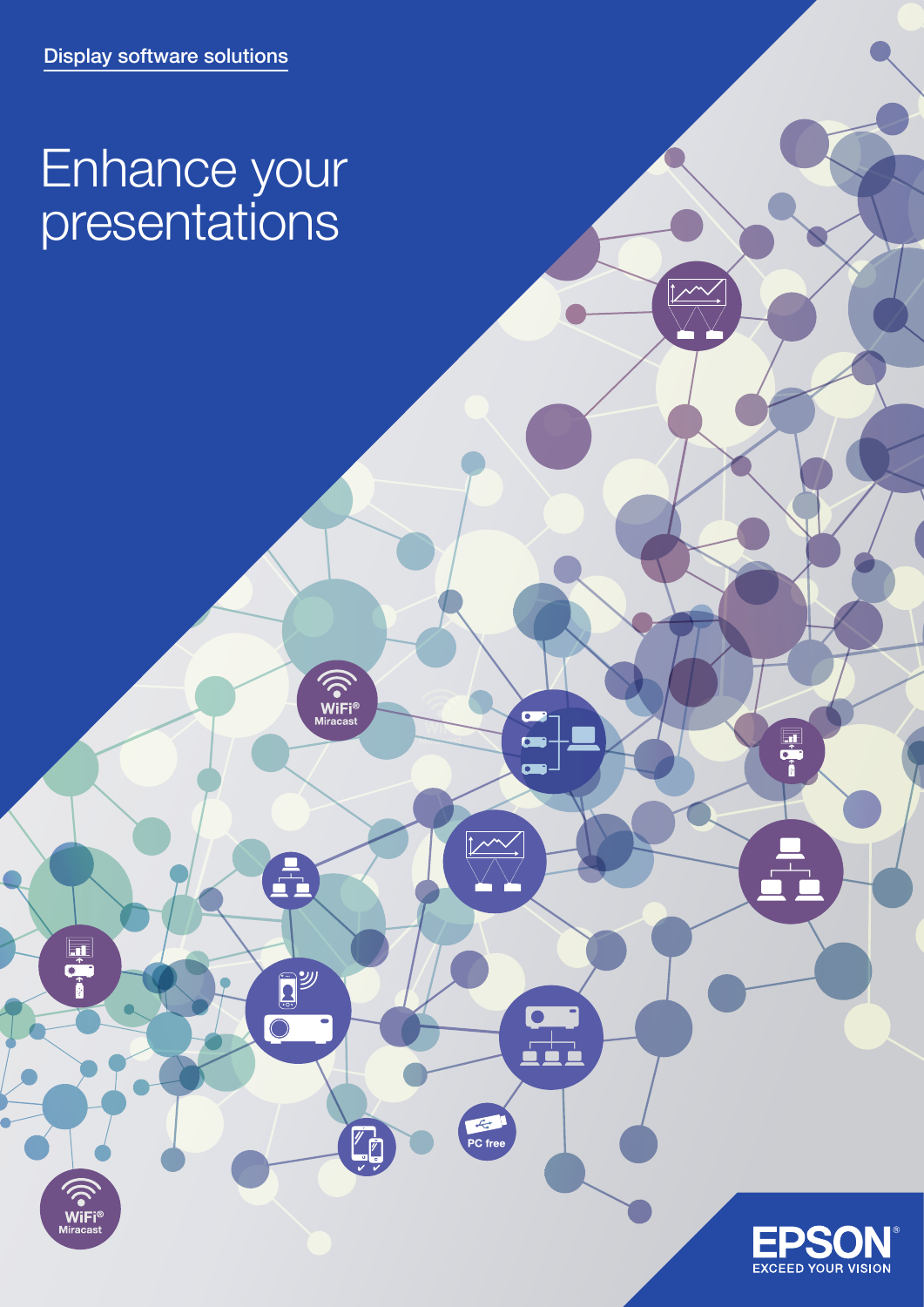## Enhance your presentations

 $\widehat{\left(\bigodot\limits_{\text{Miracast}}\right)}$ 

A

EY J

 $\mathbb{Z}_{\mathbb{Z}}$ 

 $\overline{\bigcirc}$ 

WiFi<sup>®</sup><br>Miracast

 $\overline{\phantom{0}}$ 

 $\overline{a}$  $\blacksquare$ 

 $\begin{array}{c} \n \begin{array}{c} \n \stackrel{\frown}{\phantom{}}\\ \n \stackrel{\frown}{\phantom{}}\\ \n \end{array} \end{array}$ 

 $\overline{|\mathcal{M}|}$ 

 $\overline{\mathcal{L}}$ 

 $PC$  free

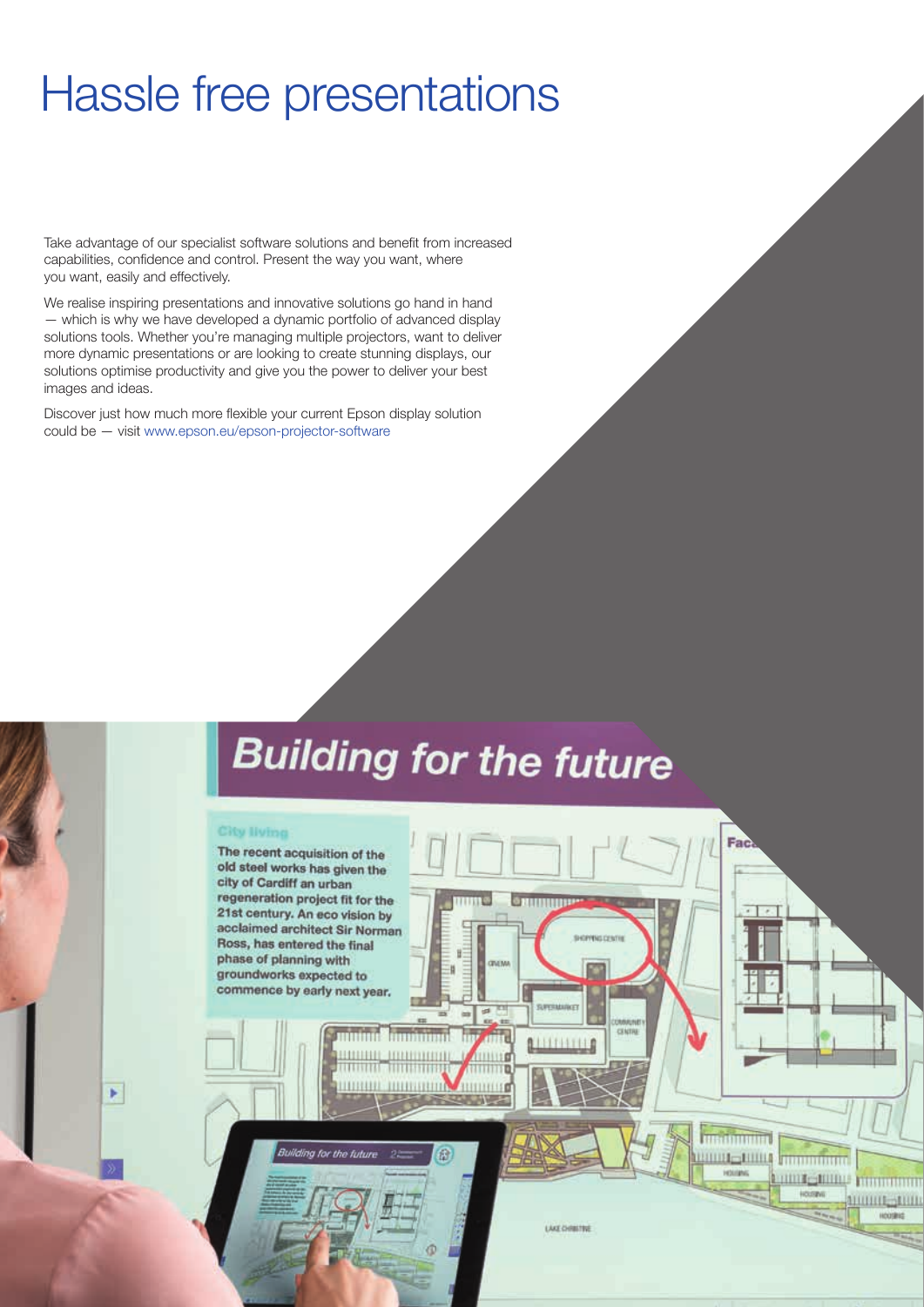## Hassle free presentations

Take advantage of our specialist software solutions and benefit from increased capabilities, confidence and control. Present the way you want, where you want, easily and effectively.

We realise inspiring presentations and innovative solutions go hand in hand — which is why we have developed a dynamic portfolio of advanced display solutions tools. Whether you're managing multiple projectors, want to deliver more dynamic presentations or are looking to create stunning displays, our solutions optimise productivity and give you the power to deliver your best images and ideas.

Discover just how much more flexible your current Epson display solution could be — visit www.epson.eu/epson-projector-software

# **Building for the future**

Η

 $1111116$ 

3339333110

#### **City Ilving**

¥

The recent acquisition of the old steel works has given the city of Cardiff an urban regeneration project fit for the 21st century. An eco vision by acclaimed architect Sir Norman Ross, has entered the final phase of planning with groundworks expected to commence by early next year.

mum annimin mummi 10000 INDUSTRING

Building for the future

LAKE CHRISTINE

**ALLITERED** 

Fac

**THURSDAY** 

**JULIUS TRANSPORT** 

**HILLE HILLE MARKETING** 

111111111-111111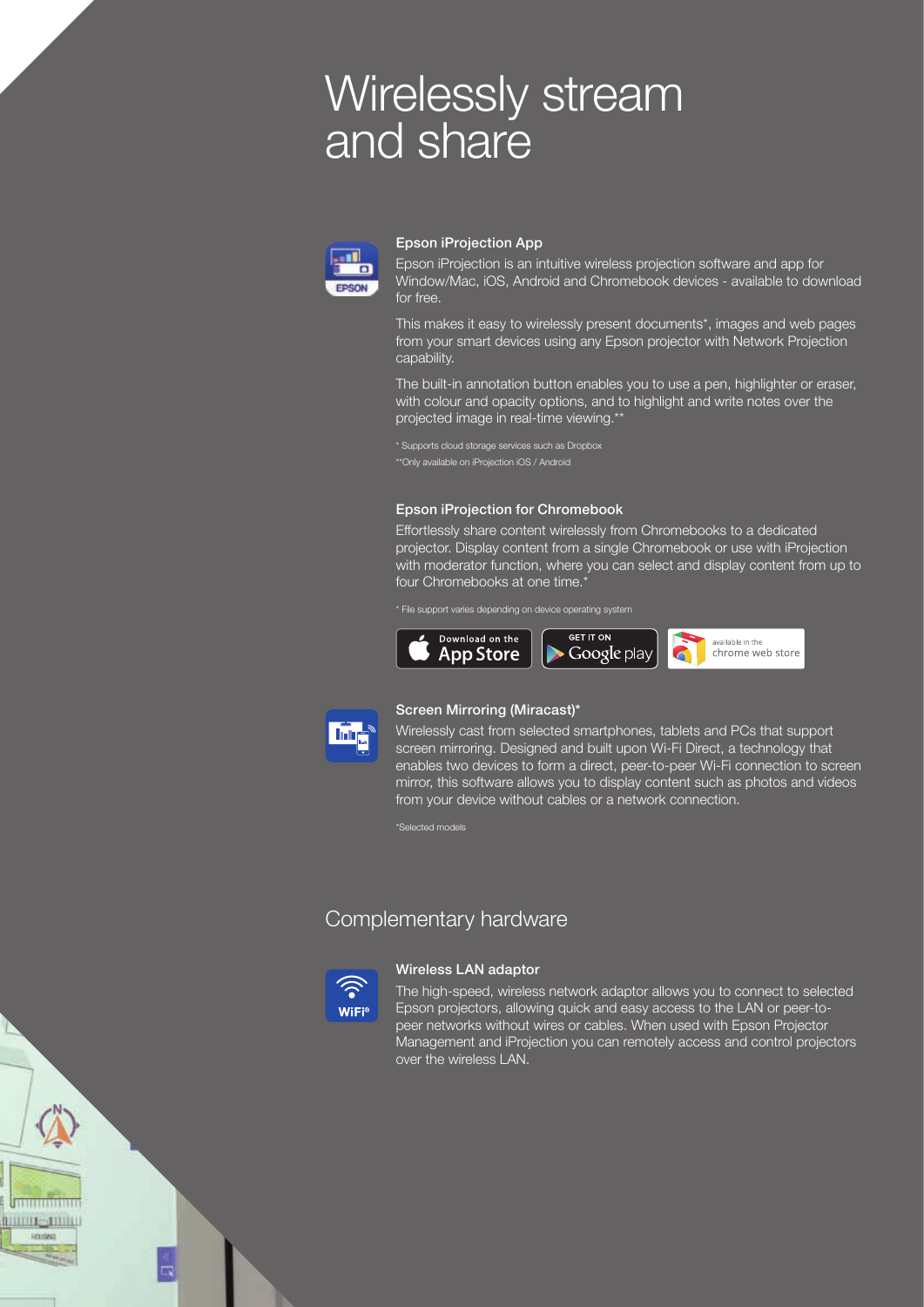## Wirelessly stream and share



#### Epson iProjection App

Epson iProjection is an intuitive wireless projection software and app for Window/Mac, iOS, Android and Chromebook devices - available to download for free.

This makes it easy to wirelessly present documents\*, images and web pages from your smart devices using any Epson projector with Network Projection capability.

The built-in annotation button enables you to use a pen, highlighter or eraser, with colour and opacity options, and to highlight and write notes over the projected image in real-time viewing.\*\*

\*\*Only available on iProjection iOS / Android

### Epson iProjection for Chromebook

Effortlessly share content wirelessly from Chromebooks to a dedicated projector. Display content from a single Chromebook or use with iProjection with moderator function, where you can select and display content from up to four Chromebooks at one time.<sup>\*</sup>

\* File support varies depending on device operating system





### Screen Mirroring (Miracast)\*

Wirelessly cast from selected smartphones, tablets and PCs that support screen mirroring. Designed and built upon Wi-Fi Direct, a technology that enables two devices to form a direct, peer-to-peer Wi-Fi connection to screen mirror, this software allows you to display content such as photos and videos from your device without cables or a network connection.

\*Selected models

## Complementary hardware



#### Wireless LAN adaptor

The high-speed, wireless network adaptor allows you to connect to selected Epson projectors, allowing quick and easy access to the LAN or peer-topeer networks without wires or cables. When used with Epson Projector Management and iProjection you can remotely access and control projectors over the wireless LAN.

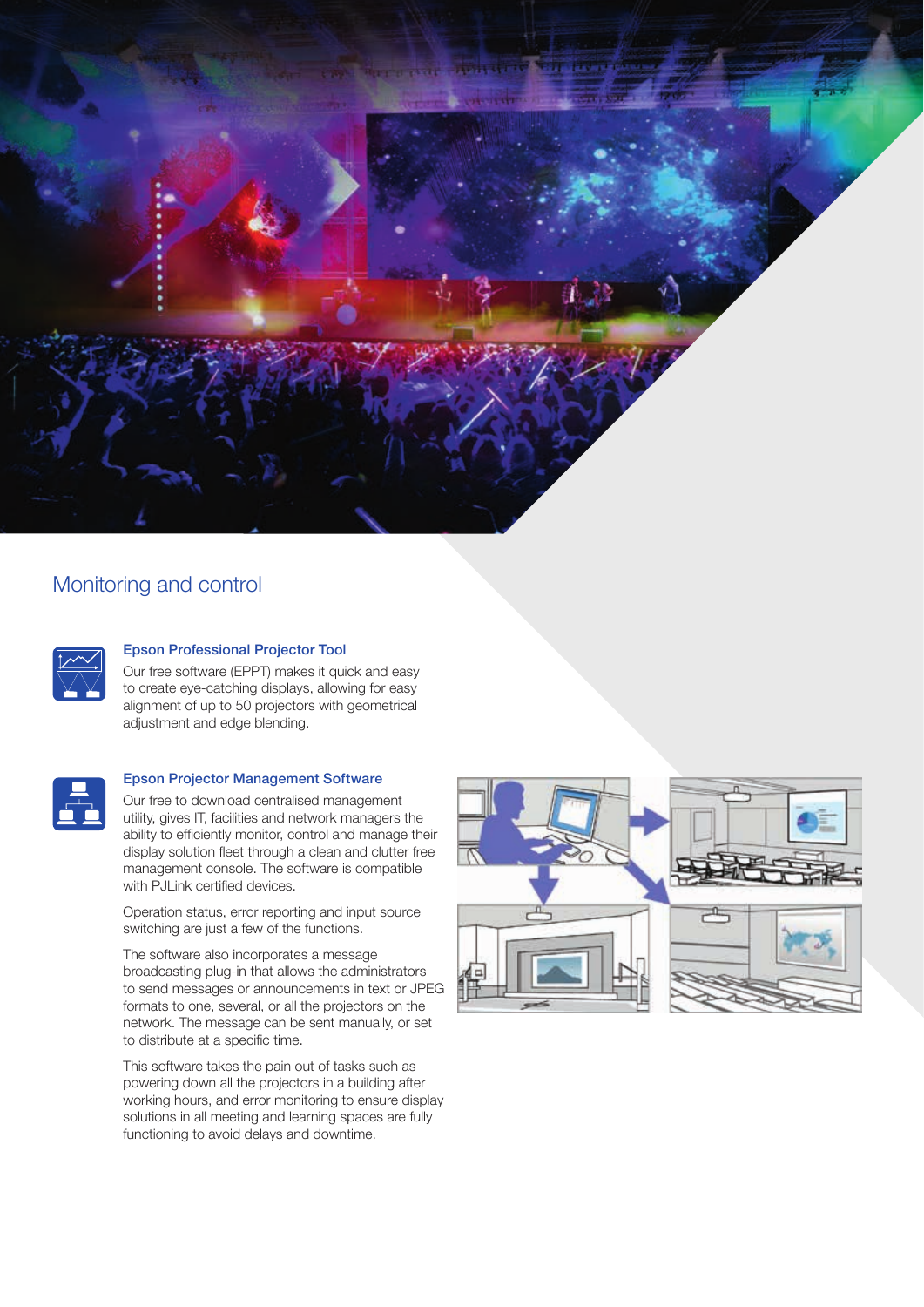

## Monitoring and control



## Epson Professional Projector Tool

Our free software (EPPT) makes it quick and easy to create eye-catching displays, allowing for easy alignment of up to 50 projectors with geometrical adjustment and edge blending.



## Epson Projector Management Software

Our free to download centralised management utility, gives IT, facilities and network managers the ability to efficiently monitor, control and manage their display solution fleet through a clean and clutter free management console. The software is compatible with PJLink certified devices.

Operation status, error reporting and input source switching are just a few of the functions.

The software also incorporates a message broadcasting plug-in that allows the administrators to send messages or announcements in text or JPEG formats to one, several, or all the projectors on the network. The message can be sent manually, or set to distribute at a specific time.

This software takes the pain out of tasks such as powering down all the projectors in a building after working hours, and error monitoring to ensure display solutions in all meeting and learning spaces are fully functioning to avoid delays and downtime.

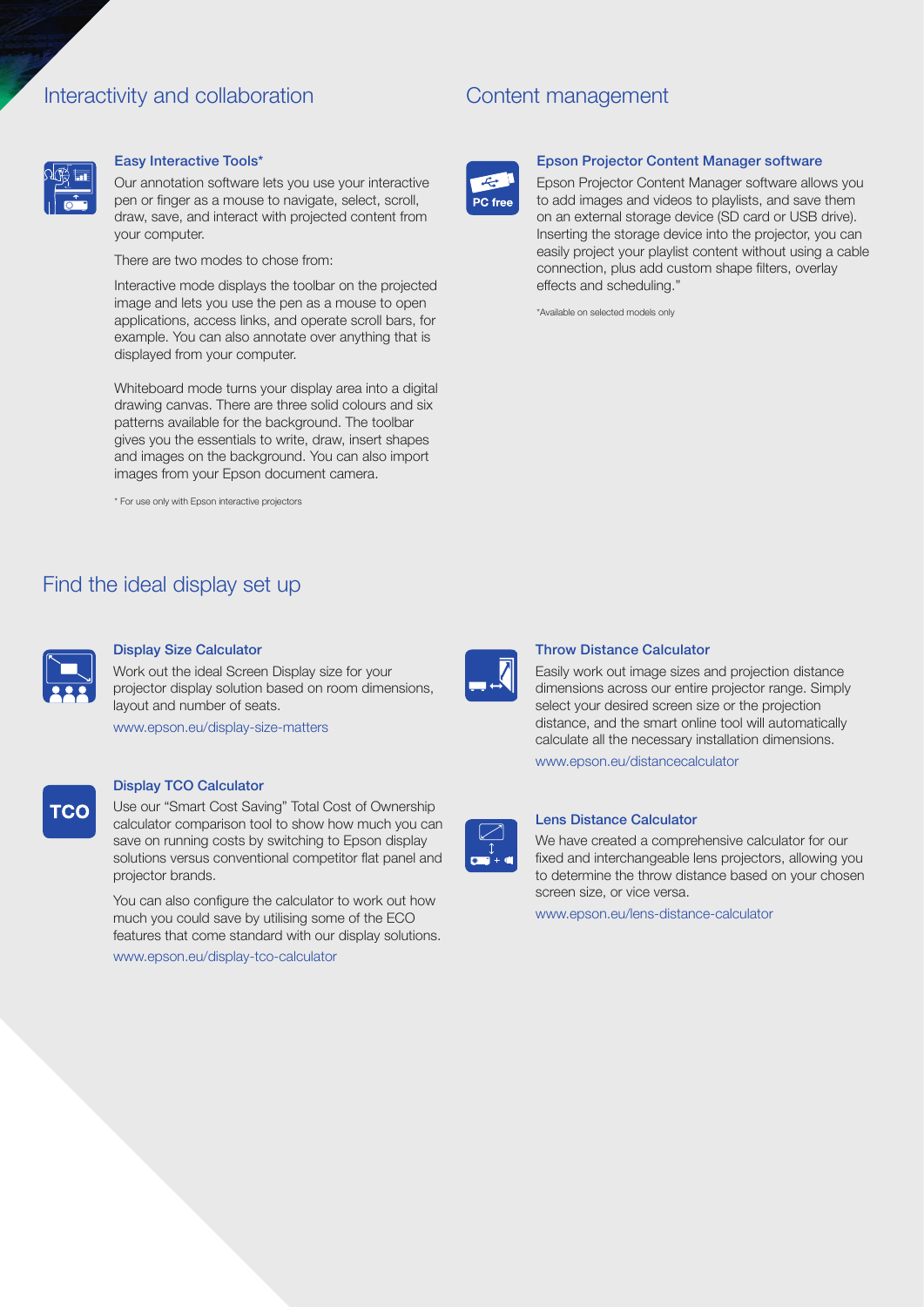## Interactivity and collaboration

## Content management



### Easy Interactive Tools\*

Our annotation software lets you use your interactive pen or finger as a mouse to navigate, select, scroll, draw, save, and interact with projected content from your computer.

There are two modes to chose from:

Interactive mode displays the toolbar on the projected image and lets you use the pen as a mouse to open applications, access links, and operate scroll bars, for example. You can also annotate over anything that is displayed from your computer.

Whiteboard mode turns your display area into a digital drawing canvas. There are three solid colours and six patterns available for the background. The toolbar gives you the essentials to write, draw, insert shapes and images on the background. You can also import images from your Epson document camera.

\* For use only with Epson interactive projectors

## Find the ideal display set up



#### Display Size Calculator

Work out the ideal Screen Display size for your projector display solution based on room dimensions, layout and number of seats.

www.epson.eu/display-size-matters

## TCC

## Display TCO Calculator

Use our "Smart Cost Saving" Total Cost of Ownership calculator comparison tool to show how much you can save on running costs by switching to Epson display solutions versus conventional competitor flat panel and projector brands.

You can also configure the calculator to work out how much you could save by utilising some of the ECO features that come standard with our display solutions. www.epson.eu/display-tco-calculator



#### Epson Projector Content Manager software

Epson Projector Content Manager software allows you to add images and videos to playlists, and save them on an external storage device (SD card or USB drive). Inserting the storage device into the projector, you can easily project your playlist content without using a cable connection, plus add custom shape filters, overlay effects and scheduling."

\*Available on selected models only



### Throw Distance Calculator

Easily work out image sizes and projection distance dimensions across our entire projector range. Simply select your desired screen size or the projection distance, and the smart online tool will automatically calculate all the necessary installation dimensions.

www.epson.eu/distancecalculator



## Lens Distance Calculator

We have created a comprehensive calculator for our fixed and interchangeable lens projectors, allowing you to determine the throw distance based on your chosen screen size, or vice versa.

www.epson.eu/lens-distance-calculator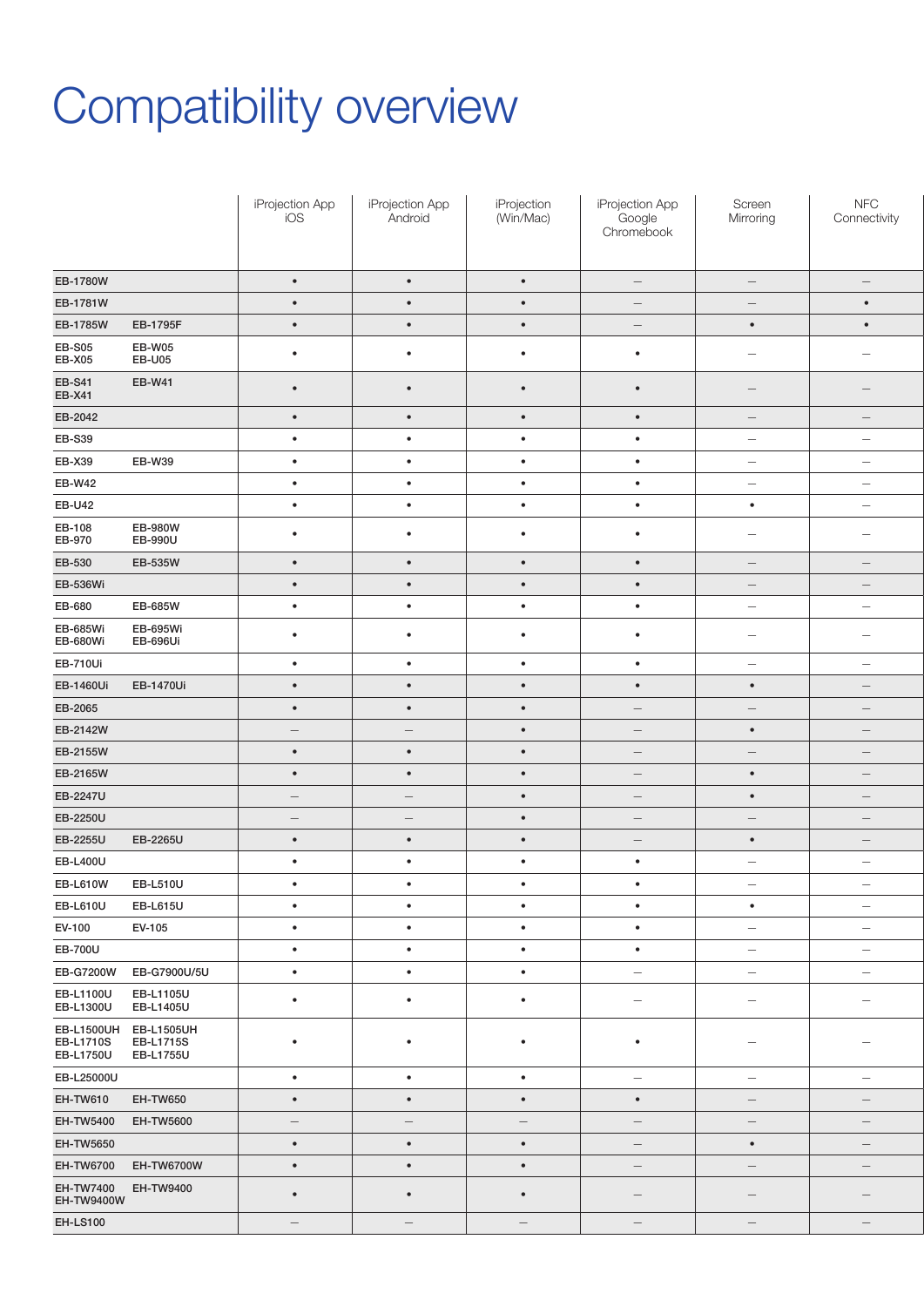# Compatibility overview

|                                         |                                    | iProjection App<br>iOS | iProjection App<br>Android | iProjection<br>(Win/Mac) | iProjection App<br>Google<br>Chromebook | Screen<br>Mirroring             | ${\sf NFC}$<br>Connectivity     |
|-----------------------------------------|------------------------------------|------------------------|----------------------------|--------------------------|-----------------------------------------|---------------------------------|---------------------------------|
| EB-1780W                                |                                    | $\bullet$              | $\bullet$                  | $\bullet$                | $\hspace{0.1mm}-\hspace{0.1mm}$         | $\hspace{0.1mm}-\hspace{0.1mm}$ | $\hspace{0.1mm}-\hspace{0.1mm}$ |
| EB-1781W                                |                                    | $\bullet$              | $\bullet$                  | $\bullet$                | $\hspace{0.1mm}-\hspace{0.1mm}$         | $\overline{\phantom{0}}$        | $\bullet$                       |
| EB-1785W                                | EB-1795F                           | $\bullet$              | $\bullet$                  | $\bullet$                | $\hspace{0.1mm}-\hspace{0.1mm}$         | $\bullet$                       | $\bullet$                       |
| <b>EB-S05</b><br><b>EB-X05</b>          | EB-W05<br><b>EB-U05</b>            | $\bullet$              | $\bullet$                  | $\bullet$                | $\bullet$                               | $\hspace{0.1mm}-\hspace{0.1mm}$ | $\hspace{0.1mm}-\hspace{0.1mm}$ |
| <b>EB-S41</b><br><b>EB-X41</b>          | <b>EB-W41</b>                      | $\bullet$              | $\bullet$                  | $\bullet$                | $\bullet$                               | $\hspace{0.1mm}-\hspace{0.1mm}$ | $\qquad \qquad -$               |
| EB-2042                                 |                                    | $\bullet$              | $\bullet$                  | $\bullet$                | $\bullet$                               | $\hspace{0.1mm}-\hspace{0.1mm}$ | $\qquad \qquad -$               |
| EB-S39                                  |                                    | $\bullet$              | $\bullet$                  | $\bullet$                | $\bullet$                               | $\hspace{0.1mm}-\hspace{0.1mm}$ | $\hspace{0.1mm}-\hspace{0.1mm}$ |
| EB-X39                                  | EB-W39                             | $\bullet$              | $\bullet$                  | $\bullet$                | $\bullet$                               | $\hspace{0.1mm}-\hspace{0.1mm}$ | $\hspace{0.1mm}-\hspace{0.1mm}$ |
| <b>EB-W42</b>                           |                                    | $\bullet$              | $\bullet$                  | $\bullet$                | $\bullet$                               | $\overline{\phantom{m}}$        | $\hspace{0.1mm}-\hspace{0.1mm}$ |
| <b>EB-U42</b>                           |                                    | $\bullet$              | $\bullet$                  | $\bullet$                | $\bullet$                               | $\bullet$                       | $\overline{\phantom{a}}$        |
| EB-108<br>EB-970                        | EB-980W<br>EB-990U                 | $\bullet$              | $\bullet$                  | $\bullet$                | $\bullet$                               | $\hspace{0.1mm}-\hspace{0.1mm}$ | $\overline{\phantom{a}}$        |
|                                         |                                    |                        |                            |                          |                                         |                                 |                                 |
| EB-530                                  | EB-535W                            | $\bullet$              | $\bullet$                  | $\bullet$                | $\bullet$                               | $\overline{\phantom{m}}$        | $\hspace{0.1mm}-\hspace{0.1mm}$ |
| EB-536Wi                                |                                    | $\bullet$              | $\bullet$                  | $\bullet$                | $\bullet$                               | $\hspace{0.1mm}-\hspace{0.1mm}$ | $\hspace{0.1mm}-\hspace{0.1mm}$ |
| EB-680<br>EB-685Wi                      | EB-685W<br>EB-695Wi                | $\bullet$              | $\bullet$                  | $\bullet$                | $\bullet$                               | $\hspace{0.1mm}-\hspace{0.1mm}$ | $\hspace{0.1mm}-\hspace{0.1mm}$ |
| EB-680Wi                                | EB-696Ui                           | $\bullet$<br>$\bullet$ | $\bullet$<br>$\bullet$     | $\bullet$<br>$\bullet$   | $\bullet$<br>$\bullet$                  | $\hspace{0.1mm}$                | $\hspace{0.1mm}-\hspace{0.1mm}$ |
| <b>EB-710Ui</b>                         |                                    |                        |                            |                          |                                         | $\overline{\phantom{a}}$        | $\hspace{0.1mm}-\hspace{0.1mm}$ |
| EB-1460Ui                               | EB-1470Ui                          | $\bullet$              | $\bullet$                  | $\bullet$                | $\bullet$                               | $\bullet$                       | $\hspace{0.1mm}-\hspace{0.1mm}$ |
| EB-2065                                 |                                    | $\bullet$              | $\bullet$                  | $\bullet$                | $\overline{\phantom{m}}$                | $\hspace{0.1mm}-\hspace{0.1mm}$ | $\hspace{0.1mm}-\hspace{0.1mm}$ |
| EB-2142W                                |                                    | $ \,$                  | $ \,$                      | $\bullet$                | $\hspace{0.1mm}-\hspace{0.1mm}$         | $\bullet$                       | $\hspace{0.1mm}-\hspace{0.1mm}$ |
| EB-2155W                                |                                    | $\bullet$              | $\bullet$                  | $\bullet$                | $\overline{\phantom{m}}$                | $\hspace{0.1mm}-\hspace{0.1mm}$ | $\overline{\phantom{a}}$        |
| EB-2165W                                |                                    | $\bullet$              | $\bullet$                  | $\bullet$                | $\overline{\phantom{0}}$                | $\bullet$                       | $-$                             |
| EB-2247U                                |                                    | $-$                    | $\overline{\phantom{m}}$   | $\bullet$                | $\hspace{0.1mm}-\hspace{0.1mm}$         | $\bullet$                       | $\hspace{0.1mm}-\hspace{0.1mm}$ |
| EB-2250U                                |                                    | $-$                    | $\overline{\phantom{m}}$   | $\bullet$                | $\hspace{0.1mm}-\hspace{0.1mm}$         | $\overline{\phantom{m}}$        | $\hspace{0.1mm}-\hspace{0.1mm}$ |
| EB-2255U                                | EB-2265U                           | $\bullet$              | $\bullet$                  | $\bullet$                | $\hspace{0.1mm}-\hspace{0.1mm}$         | $\bullet$                       | $\hspace{0.1mm}-\hspace{0.1mm}$ |
| <b>EB-L400U</b>                         |                                    | $\bullet$              | $\bullet$                  | $\bullet$                | $\bullet$                               | $\overline{\phantom{m}}$        | $\overline{\phantom{a}}$        |
| EB-L610W                                | EB-L510U                           | $\bullet$              | $\bullet$                  | $\bullet$                | $\bullet$                               | $\hspace{0.1mm}-\hspace{0.1mm}$ | $\hspace{0.1mm}-\hspace{0.1mm}$ |
| EB-L610U                                | <b>EB-L615U</b>                    | $\bullet$              | $\bullet$                  | $\bullet$                | $\bullet$                               | $\bullet$                       | $\hspace{0.1mm}-\hspace{0.1mm}$ |
| EV-100                                  | EV-105                             | $\bullet$              | $\bullet$                  | $\bullet$                | $\bullet$                               | $\hspace{0.1mm}$                | $\hspace{0.1mm}-\hspace{0.1mm}$ |
| <b>EB-700U</b>                          |                                    | $\bullet$              | $\bullet$                  | $\bullet$                | $\bullet$                               | $\hspace{0.1mm}-\hspace{0.1mm}$ | $\hspace{0.1mm}-\hspace{0.1mm}$ |
|                                         | EB-G7200W EB-G7900U/5U             | $\bullet$              | $\bullet$                  | $\bullet$                | $ \,$                                   | $\hspace{0.1mm}-\hspace{0.1mm}$ | $\hspace{0.1mm}-\hspace{0.1mm}$ |
| EB-L1100U<br>EB-L1300U                  | EB-L1105U<br>EB-L1405U             | $\bullet$              | $\bullet$                  | $\bullet$                | $\overline{\phantom{a}}$                | $\hspace{0.1mm}$                | $\hspace{0.1mm}-\hspace{0.1mm}$ |
| <b>EB-L1710S</b><br>EB-L1750U EB-L1755U | EB-L1500UH EB-L1505UH<br>EB-L1715S | $\bullet$              | $\bullet$                  | $\bullet$                | $\bullet$                               | $\overline{\phantom{m}}$        | $\hspace{0.1mm}-\hspace{0.1mm}$ |
| EB-L25000U                              |                                    | $\bullet$              | $\bullet$                  | $\bullet$                | $\overline{\phantom{m}}$                | $\hspace{0.1mm}-\hspace{0.1mm}$ | $\overline{\phantom{a}}$        |
| <b>EH-TW610</b>                         | <b>EH-TW650</b>                    | $\bullet$              | $\bullet$                  | $\bullet$                | $\bullet$                               | $\hspace{0.1mm}-\hspace{0.1mm}$ | $\hspace{0.1mm}-\hspace{0.1mm}$ |
| EH-TW5400 EH-TW5600                     |                                    | $-$                    | $ \,$                      | $-$                      | $\hspace{0.1mm}-\hspace{0.1mm}$         | $ \,$                           | $\hspace{0.1mm}-\hspace{0.1mm}$ |
| EH-TW5650                               |                                    | $\bullet$              | $\bullet$                  | $\bullet$                | $\hspace{0.1mm}-\hspace{0.1mm}$         | $\bullet$                       | $\hspace{0.1mm}-\hspace{0.1mm}$ |
|                                         | EH-TW6700 EH-TW6700W               | $\bullet$              | $\bullet$                  | $\bullet$                | $ \,$                                   | $\hspace{0.1mm}-\hspace{0.1mm}$ | $\hspace{0.1mm}-\hspace{0.1mm}$ |
| EH-TW7400 EH-TW9400<br>EH-TW9400W       |                                    | $\bullet$              | $\bullet$                  | $\bullet$                | $\hspace{0.1mm}-\hspace{0.1mm}$         | $\overline{\phantom{m}}$        | $\qquad \qquad -$               |
| <b>EH-LS100</b>                         |                                    | $-$                    | $\overline{\phantom{m}}$   | $\overline{\phantom{m}}$ | $\overline{\phantom{m}}$                | $\overline{\phantom{m}}$        | $\qquad \qquad -$               |
|                                         |                                    |                        |                            |                          |                                         |                                 |                                 |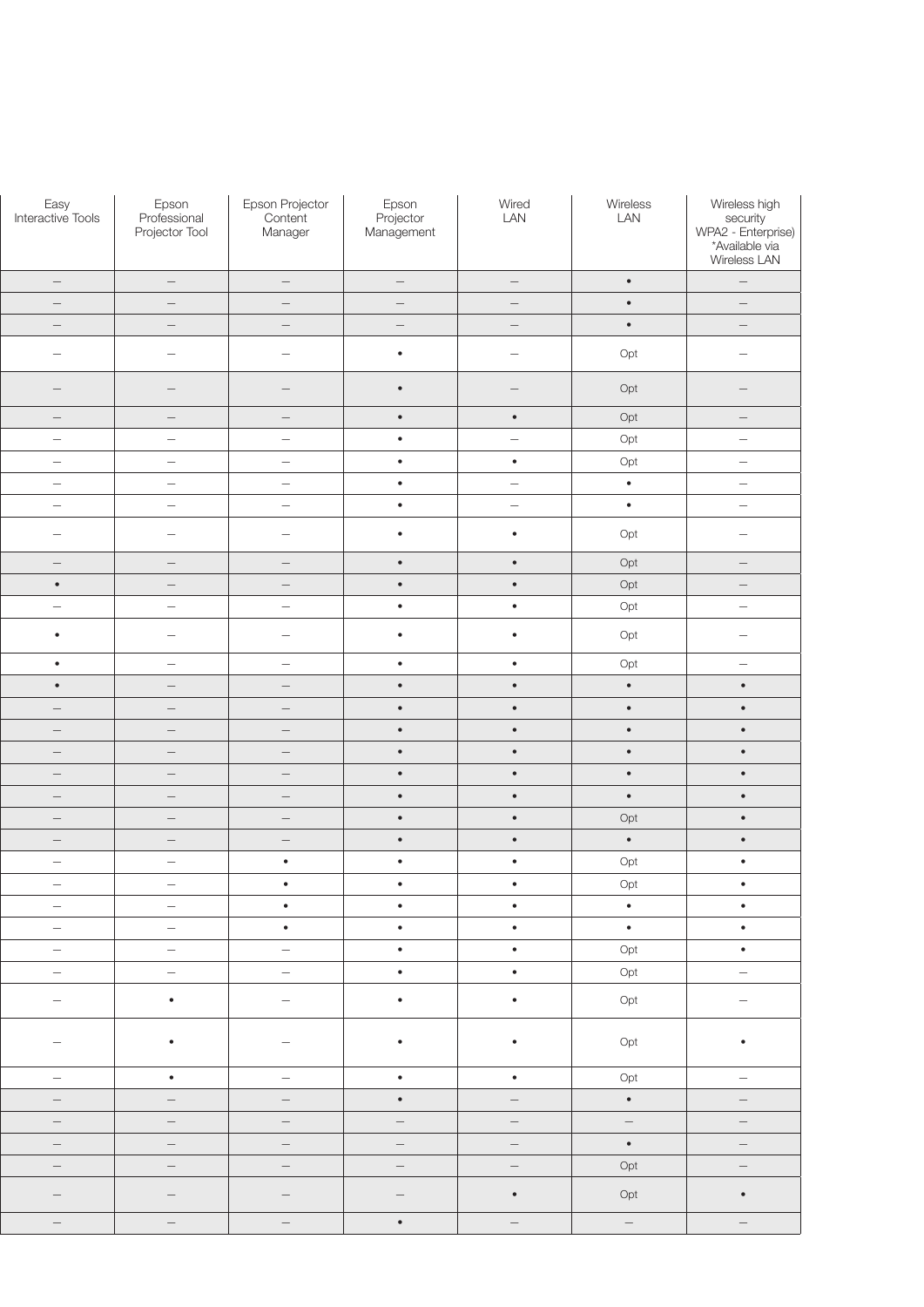| Epson Projector<br>Content<br>Manager | Epson<br>Projector<br>Management  | Wired<br>LAN                    | Wireless<br>LAN                 | Wireless high<br>security<br>WPA2 - Enterprise)<br>*Available via<br>Wireless LAN |
|---------------------------------------|-----------------------------------|---------------------------------|---------------------------------|-----------------------------------------------------------------------------------|
| $\hspace{0.1mm}-\hspace{0.1mm}$       | $\hspace{0.1mm}-\hspace{0.1mm}$   | $\hspace{0.1mm}-\hspace{0.1mm}$ | $\bullet$                       | $\hspace{0.1cm}$ — $\hspace{0.1cm}$                                               |
| $\hspace{0.1mm}-\hspace{0.1mm}$       | $ \,$                             | $\overline{\phantom{m}}$        | $\bullet$                       | $\overline{\phantom{m}}$                                                          |
| $\hspace{0.1mm}-\hspace{0.1mm}$       | $\hspace{0.1mm}-\hspace{0.1mm}$   | $\hspace{0.1mm}-\hspace{0.1mm}$ | $\bullet$                       | $-$                                                                               |
| $\hspace{0.1mm}$                      | $\bullet$                         | $\hspace{0.1mm}-\hspace{0.1mm}$ | Opt                             | $\overline{\phantom{m}}$                                                          |
| $\hspace{0.1mm}-\hspace{0.1mm}$       | $\bullet$                         | $ \,$                           | Opt                             | $-$                                                                               |
| $\hspace{0.1mm}-\hspace{0.1mm}$       | $\bullet$                         | $\bullet$                       | Opt                             | $ \,$                                                                             |
| $\hspace{0.1mm}-\hspace{0.1mm}$       | $\bullet$                         | $\hspace{0.1mm}-\hspace{0.1mm}$ | Opt                             | $\hspace{0.1mm}-\hspace{0.1mm}$                                                   |
| $\sim$                                | $\bullet$                         | $\bullet$                       | Opt                             | $\overline{\phantom{m}}$                                                          |
| $\hspace{0.1mm}-\hspace{0.1mm}$       | $\bullet$                         | $ \,$                           | $\bullet$                       | $-$                                                                               |
| $\hspace{0.1mm}-\hspace{0.1mm}$       | $\bullet$                         | $\sim$                          | $\bullet$                       | $\hspace{0.1mm}-\hspace{0.1mm}$                                                   |
| $\hspace{0.1mm}-\hspace{0.1mm}$       | $\bullet$                         | $\bullet$                       | Opt                             | $ \,$                                                                             |
| $\hspace{0.1mm}-\hspace{0.1mm}$       | $\bullet$                         | $\bullet$                       | Opt                             | $-$                                                                               |
| $\hspace{0.1mm}-\hspace{0.1mm}$       | $\bullet$                         | $\bullet$                       | Opt                             | $ \,$                                                                             |
| $\hspace{0.1mm}-\hspace{0.1mm}$       | $\bullet$                         | $\bullet$                       | Opt                             | $ \,$                                                                             |
| $\overline{\phantom{a}}$              | $\bullet$                         | $\bullet$                       | Opt                             | $\hspace{0.1mm}-\hspace{0.1mm}$                                                   |
| $\hspace{0.1mm}-\hspace{0.1mm}$       | $\bullet$                         | $\bullet$                       | Opt                             | $ \,$                                                                             |
| $\hspace{0.1mm}-\hspace{0.1mm}$       | $\bullet$                         | $\bullet$                       | $\bullet$                       | $\bullet$                                                                         |
| $\hspace{0.1mm}-\hspace{0.1mm}$       | $\bullet$                         | $\bullet$                       | $\bullet$                       | $\bullet$                                                                         |
| $\hspace{0.1mm}-\hspace{0.1mm}$       | $\bullet$                         | $\bullet$                       | $\bullet$                       | $\bullet$                                                                         |
| $\hspace{0.1mm}-\hspace{0.1mm}$       | $\bullet$                         | $\bullet$                       | $\bullet$                       | $\bullet$                                                                         |
| $\hspace{0.1mm}-\hspace{0.1mm}$       | $\bullet$                         | $\bullet$                       | $\bullet$                       | $\bullet$                                                                         |
| $\hspace{0.1mm}-\hspace{0.1mm}$       | $\bullet$                         | $\bullet$                       | $\bullet$                       | $\bullet$                                                                         |
| $\hspace{0.1mm}-\hspace{0.1mm}$       | $\bullet$                         | $\bullet$                       | Opt                             | $\bullet$                                                                         |
| $\overline{\phantom{0}}$              | $\bullet$                         | $\bullet$                       | $\bullet$                       | $\bullet$                                                                         |
| $\bullet$                             | $\bullet$                         | $\bullet$                       | Opt                             | $\bullet$                                                                         |
| $\bullet$<br>$\bullet$                | $\bullet$<br>$\bullet$            | $\bullet$<br>$\bullet$          | Opt<br>$\bullet$                | $\bullet$<br>$\bullet$                                                            |
| $\bullet$ .                           | $\bullet$                         | $\bullet$                       | $\bullet$                       | $\bullet$                                                                         |
| $\left\vert -\right\vert$             | $\bullet$ .                       | $\bullet$                       | Opt                             | $\bullet$                                                                         |
| $\sim$                                | $\bullet$                         | $\bullet$                       | Opt                             | $\equiv$                                                                          |
| $\sim$                                | $\bullet$                         | $\bullet$ .                     | Opt                             | $\equiv$                                                                          |
| $\hspace{0.1mm}-\hspace{0.1mm}$       | $\bullet$                         | $\bullet$                       | Opt                             | $\bullet$                                                                         |
| $\sim$                                | $\bullet$                         | $\bullet$                       | Opt                             | $ \,$                                                                             |
| $\sim$                                | $\bullet$ .                       | $\sim$                          | $\bullet$                       | $\equiv$                                                                          |
| $\left\vert -\right\rangle$           | $\alpha \rightarrow \beta \gamma$ | $\left\vert -\right\rangle$     | $\left\vert -\right\rangle$     | $\hspace{0.1mm}-\hspace{0.1mm}$                                                   |
| $\hspace{0.1mm}-\hspace{0.1mm}$       | $\sim$                            | $\hspace{0.1mm}-\hspace{0.1mm}$ | $\bullet$                       | $ \,$                                                                             |
| $\sim$                                | $\alpha \rightarrow \beta \gamma$ | $\sim$                          | Opt                             | $\sim$                                                                            |
| $\hspace{0.1mm}-\hspace{0.1mm}$       | $\hspace{0.1mm}-\hspace{0.1mm}$   | $\bullet$ .                     | Opt                             | $\bullet$                                                                         |
| $\sim$                                | $\bullet$                         | $\left\vert -\right\rangle$     | $\hspace{0.1mm}-\hspace{0.1mm}$ | $\hspace{0.1cm} -$                                                                |
|                                       |                                   |                                 |                                 |                                                                                   |